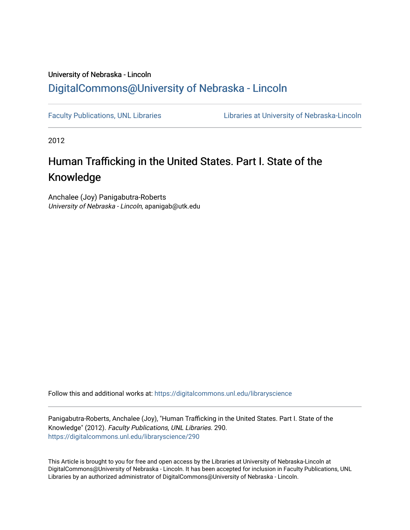# University of Nebraska - Lincoln [DigitalCommons@University of Nebraska - Lincoln](https://digitalcommons.unl.edu/)

[Faculty Publications, UNL Libraries](https://digitalcommons.unl.edu/libraryscience) Libraries Libraries at University of Nebraska-Lincoln

2012

# Human Trafficking in the United States. Part I. State of the Knowledge

Anchalee (Joy) Panigabutra-Roberts University of Nebraska - Lincoln, apanigab@utk.edu

Follow this and additional works at: [https://digitalcommons.unl.edu/libraryscience](https://digitalcommons.unl.edu/libraryscience?utm_source=digitalcommons.unl.edu%2Flibraryscience%2F290&utm_medium=PDF&utm_campaign=PDFCoverPages)

Panigabutra-Roberts, Anchalee (Joy), "Human Trafficking in the United States. Part I. State of the Knowledge" (2012). Faculty Publications, UNL Libraries. 290. [https://digitalcommons.unl.edu/libraryscience/290](https://digitalcommons.unl.edu/libraryscience/290?utm_source=digitalcommons.unl.edu%2Flibraryscience%2F290&utm_medium=PDF&utm_campaign=PDFCoverPages)

This Article is brought to you for free and open access by the Libraries at University of Nebraska-Lincoln at DigitalCommons@University of Nebraska - Lincoln. It has been accepted for inclusion in Faculty Publications, UNL Libraries by an authorized administrator of DigitalCommons@University of Nebraska - Lincoln.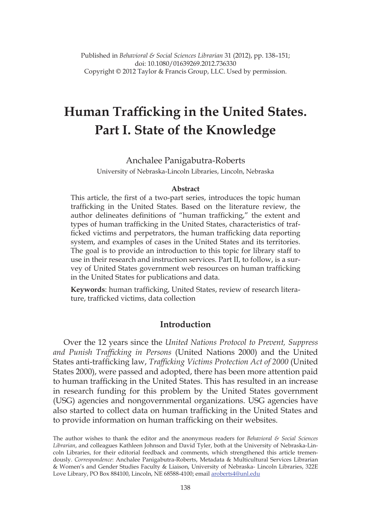Published in *Behavioral & Social Sciences Librarian* 31 (2012), pp. 138–151; doi: 10.1080/01639269.2012.736330 Copyright © 2012 Taylor & Francis Group, LLC. Used by permission.

# **Human Trafficking in the United States. Part I. State of the Knowledge**

#### Anchalee Panigabutra-Roberts

University of Nebraska-Lincoln Libraries, Lincoln, Nebraska

#### **Abstract**

This article, the first of a two-part series, introduces the topic human trafficking in the United States. Based on the literature review, the author delineates definitions of "human trafficking," the extent and types of human trafficking in the United States, characteristics of trafficked victims and perpetrators, the human trafficking data reporting system, and examples of cases in the United States and its territories. The goal is to provide an introduction to this topic for library staff to use in their research and instruction services. Part II, to follow, is a survey of United States government web resources on human trafficking in the United States for publications and data.

**Keywords**: human trafficking, United States, review of research literature, trafficked victims, data collection

### **Introduction**

Over the 12 years since the *United Nations Protocol to Prevent, Suppress and Punish Trafficking in Persons* (United Nations 2000) and the United States anti-trafficking law, *Trafficking Victims Protection Act of 2000* (United States 2000), were passed and adopted, there has been more attention paid to human trafficking in the United States. This has resulted in an increase in research funding for this problem by the United States government (USG) agencies and nongovernmental organizations. USG agencies have also started to collect data on human trafficking in the United States and to provide information on human trafficking on their websites.

The author wishes to thank the editor and the anonymous readers for *Behavioral & Social Sciences Librarian*, and colleagues Kathleen Johnson and David Tyler, both at the University of Nebraska-Lincoln Libraries, for their editorial feedback and comments, which strengthened this article tremendously. *Correspondence*: Anchalee Panigabutra-Roberts, Metadata & Multicultural Services Librarian & Women's and Gender Studies Faculty & Liaison, University of Nebraska- Lincoln Libraries, 322E Love Library, PO Box 884100, Lincoln, NE 68588-4100; email aroberts4@unl.edu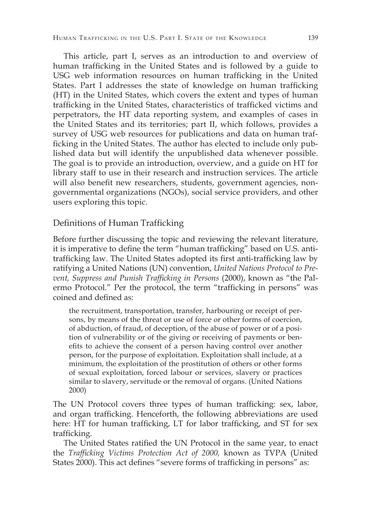This article, part I, serves as an introduction to and overview of human trafficking in the United States and is followed by a guide to USG web information resources on human trafficking in the United States. Part I addresses the state of knowledge on human trafficking (HT) in the United States, which covers the extent and types of human trafficking in the United States, characteristics of trafficked victims and perpetrators, the HT data reporting system, and examples of cases in the United States and its territories; part II, which follows, provides a survey of USG web resources for publications and data on human trafficking in the United States. The author has elected to include only published data but will identify the unpublished data whenever possible. The goal is to provide an introduction, overview, and a guide on HT for library staff to use in their research and instruction services. The article will also benefit new researchers, students, government agencies, nongovernmental organizations (NGOs), social service providers, and other users exploring this topic.

#### Definitions of Human Trafficking

Before further discussing the topic and reviewing the relevant literature, it is imperative to define the term "human trafficking" based on U.S. antitrafficking law. The United States adopted its first anti-trafficking law by ratifying a United Nations (UN) convention, *United Nations Protocol to Prevent, Suppress and Punish Trafficking in Persons* (2000), known as "the Palermo Protocol." Per the protocol, the term "trafficking in persons" was coined and defined as:

the recruitment, transportation, transfer, harbouring or receipt of persons, by means of the threat or use of force or other forms of coercion, of abduction, of fraud, of deception, of the abuse of power or of a position of vulnerability or of the giving or receiving of payments or benefits to achieve the consent of a person having control over another person, for the purpose of exploitation. Exploitation shall include, at a minimum, the exploitation of the prostitution of others or other forms of sexual exploitation, forced labour or services, slavery or practices similar to slavery, servitude or the removal of organs. (United Nations 2000)

The UN Protocol covers three types of human trafficking: sex, labor, and organ trafficking. Henceforth, the following abbreviations are used here: HT for human trafficking, LT for labor trafficking, and ST for sex trafficking.

The United States ratified the UN Protocol in the same year, to enact the *Trafficking Victims Protection Act of 2000,* known as TVPA (United States 2000). This act defines "severe forms of trafficking in persons" as: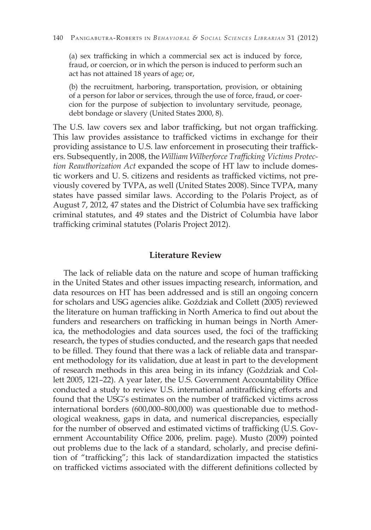(a) sex trafficking in which a commercial sex act is induced by force, fraud, or coercion, or in which the person is induced to perform such an act has not attained 18 years of age; or,

(b) the recruitment, harboring, transportation, provision, or obtaining of a person for labor or services, through the use of force, fraud, or coercion for the purpose of subjection to involuntary servitude, peonage, debt bondage or slavery (United States 2000, 8).

The U.S. law covers sex and labor trafficking, but not organ trafficking. This law provides assistance to trafficked victims in exchange for their providing assistance to U.S. law enforcement in prosecuting their traffickers. Subsequently, in 2008, the *William Wilberforce Trafficking Victims Protection Reauthorization Act* expanded the scope of HT law to include domestic workers and U. S. citizens and residents as trafficked victims, not previously covered by TVPA, as well (United States 2008). Since TVPA, many states have passed similar laws. According to the Polaris Project, as of August 7, 2012, 47 states and the District of Columbia have sex trafficking criminal statutes, and 49 states and the District of Columbia have labor trafficking criminal statutes (Polaris Project 2012).

### **Literature Review**

The lack of reliable data on the nature and scope of human trafficking in the United States and other issues impacting research, information, and data resources on HT has been addressed and is still an ongoing concern for scholars and USG agencies alike. Goździak and Collett (2005) reviewed the literature on human trafficking in North America to find out about the funders and researchers on trafficking in human beings in North America, the methodologies and data sources used, the foci of the trafficking research, the types of studies conducted, and the research gaps that needed to be filled. They found that there was a lack of reliable data and transparent methodology for its validation, due at least in part to the development of research methods in this area being in its infancy (Goździak and Collett 2005, 121–22). A year later, the U.S. Government Accountability Office conducted a study to review U.S. international antitrafficking efforts and found that the USG's estimates on the number of trafficked victims across international borders (600,000–800,000) was questionable due to methodological weakness, gaps in data, and numerical discrepancies, especially for the number of observed and estimated victims of trafficking (U.S. Government Accountability Office 2006, prelim. page). Musto (2009) pointed out problems due to the lack of a standard, scholarly, and precise definition of "trafficking"; this lack of standardization impacted the statistics on trafficked victims associated with the different definitions collected by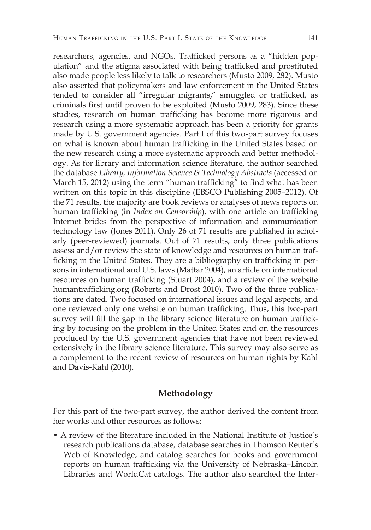researchers, agencies, and NGOs. Trafficked persons as a "hidden population" and the stigma associated with being trafficked and prostituted also made people less likely to talk to researchers (Musto 2009, 282). Musto also asserted that policymakers and law enforcement in the United States tended to consider all "irregular migrants," smuggled or trafficked, as criminals first until proven to be exploited (Musto 2009, 283). Since these studies, research on human trafficking has become more rigorous and research using a more systematic approach has been a priority for grants made by U.S. government agencies. Part I of this two-part survey focuses on what is known about human trafficking in the United States based on the new research using a more systematic approach and better methodology. As for library and information science literature, the author searched the database *Library, Information Science & Technology Abstracts* (accessed on March 15, 2012) using the term "human trafficking" to find what has been written on this topic in this discipline (EBSCO Publishing 2005–2012). Of the 71 results, the majority are book reviews or analyses of news reports on human trafficking (in *Index on Censorship*), with one article on trafficking Internet brides from the perspective of information and communication technology law (Jones 2011). Only 26 of 71 results are published in scholarly (peer-reviewed) journals. Out of 71 results, only three publications assess and/or review the state of knowledge and resources on human trafficking in the United States. They are a bibliography on trafficking in persons in international and U.S. laws (Mattar 2004), an article on international resources on human trafficking (Stuart 2004), and a review of the website humantrafficking.org (Roberts and Drost 2010). Two of the three publications are dated. Two focused on international issues and legal aspects, and one reviewed only one website on human trafficking. Thus, this two-part survey will fill the gap in the library science literature on human trafficking by focusing on the problem in the United States and on the resources produced by the U.S. government agencies that have not been reviewed extensively in the library science literature. This survey may also serve as a complement to the recent review of resources on human rights by Kahl and Davis-Kahl (2010).

#### **Methodology**

For this part of the two-part survey, the author derived the content from her works and other resources as follows:

• A review of the literature included in the National Institute of Justice's research publications database, database searches in Thomson Reuter's Web of Knowledge, and catalog searches for books and government reports on human trafficking via the University of Nebraska–Lincoln Libraries and WorldCat catalogs. The author also searched the Inter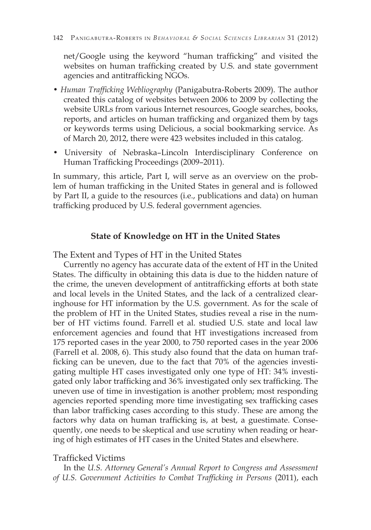net/Google using the keyword "human trafficking" and visited the websites on human trafficking created by U.S. and state government agencies and antitrafficking NGOs.

- *Human Trafficking Webliography* (Panigabutra-Roberts 2009). The author created this catalog of websites between 2006 to 2009 by collecting the website URLs from various Internet resources, Google searches, books, reports, and articles on human trafficking and organized them by tags or keywords terms using Delicious, a social bookmarking service. As of March 20, 2012, there were 423 websites included in this catalog.
- University of Nebraska–Lincoln Interdisciplinary Conference on Human Trafficking Proceedings (2009–2011).

In summary, this article, Part I, will serve as an overview on the problem of human trafficking in the United States in general and is followed by Part II, a guide to the resources (i.e., publications and data) on human trafficking produced by U.S. federal government agencies.

#### **State of Knowledge on HT in the United States**

The Extent and Types of HT in the United States

Currently no agency has accurate data of the extent of HT in the United States. The difficulty in obtaining this data is due to the hidden nature of the crime, the uneven development of antitrafficking efforts at both state and local levels in the United States, and the lack of a centralized clearinghouse for HT information by the U.S. government. As for the scale of the problem of HT in the United States, studies reveal a rise in the number of HT victims found. Farrell et al. studied U.S. state and local law enforcement agencies and found that HT investigations increased from 175 reported cases in the year 2000, to 750 reported cases in the year 2006 (Farrell et al. 2008, 6). This study also found that the data on human trafficking can be uneven, due to the fact that 70% of the agencies investigating multiple HT cases investigated only one type of HT: 34% investigated only labor trafficking and 36% investigated only sex trafficking. The uneven use of time in investigation is another problem; most responding agencies reported spending more time investigating sex trafficking cases than labor trafficking cases according to this study. These are among the factors why data on human trafficking is, at best, a guestimate. Consequently, one needs to be skeptical and use scrutiny when reading or hearing of high estimates of HT cases in the United States and elsewhere.

# Trafficked Victims

In the *U.S. Attorney General's Annual Report to Congress and Assessment of U.S. Government Activities to Combat Trafficking in Persons* (2011), each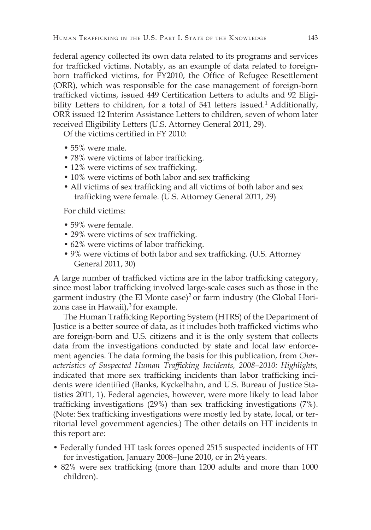federal agency collected its own data related to its programs and services for trafficked victims. Notably, as an example of data related to foreignborn trafficked victims, for FY2010, the Office of Refugee Resettlement (ORR), which was responsible for the case management of foreign-born trafficked victims, issued 449 Certification Letters to adults and 92 Eligibility Letters to children, for a total of 541 letters issued.<sup>1</sup> Additionally, ORR issued 12 Interim Assistance Letters to children, seven of whom later received Eligibility Letters (U.S. Attorney General 2011, 29).

Of the victims certified in FY 2010:

- 55% were male.
- 78% were victims of labor trafficking.
- 12% were victims of sex trafficking.
- 10% were victims of both labor and sex trafficking
- All victims of sex trafficking and all victims of both labor and sex trafficking were female. (U.S. Attorney General 2011, 29)

For child victims:

- 59% were female.
- 29% were victims of sex trafficking.
- 62% were victims of labor trafficking.
- 9% were victims of both labor and sex trafficking. (U.S. Attorney General 2011, 30)

A large number of trafficked victims are in the labor trafficking category, since most labor trafficking involved large-scale cases such as those in the garment industry (the El Monte case)<sup>2</sup> or farm industry (the Global Horizons case in Hawaii), $3$  for example.

The Human Trafficking Reporting System (HTRS) of the Department of Justice is a better source of data, as it includes both trafficked victims who are foreign-born and U.S. citizens and it is the only system that collects data from the investigations conducted by state and local law enforcement agencies. The data forming the basis for this publication, from *Characteristics of Suspected Human Trafficking Incidents, 2008–2010: Highlights,*  indicated that more sex trafficking incidents than labor trafficking incidents were identified (Banks, Kyckelhahn, and U.S. Bureau of Justice Statistics 2011, 1). Federal agencies, however, were more likely to lead labor trafficking investigations (29%) than sex trafficking investigations (7%). (Note: Sex trafficking investigations were mostly led by state, local, or territorial level government agencies.) The other details on HT incidents in this report are:

- Federally funded HT task forces opened 2515 suspected incidents of HT for investigation, January 2008–June 2010, or in 2½ years.
- 82% were sex trafficking (more than 1200 adults and more than 1000 children).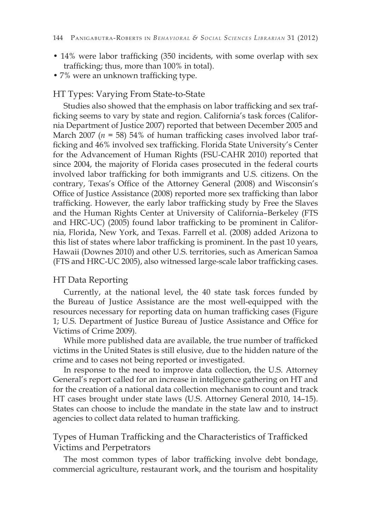- 14% were labor trafficking (350 incidents, with some overlap with sex trafficking; thus, more than 100% in total).
- 7% were an unknown trafficking type.

### HT Types: Varying From State-to-State

Studies also showed that the emphasis on labor trafficking and sex trafficking seems to vary by state and region. California's task forces (California Department of Justice 2007) reported that between December 2005 and March 2007 (*n* = 58) 54% of human trafficking cases involved labor trafficking and 46% involved sex trafficking. Florida State University's Center for the Advancement of Human Rights (FSU-CAHR 2010) reported that since 2004, the majority of Florida cases prosecuted in the federal courts involved labor trafficking for both immigrants and U.S. citizens. On the contrary, Texas's Office of the Attorney General (2008) and Wisconsin's Office of Justice Assistance (2008) reported more sex trafficking than labor trafficking. However, the early labor trafficking study by Free the Slaves and the Human Rights Center at University of California–Berkeley (FTS and HRC-UC) (2005) found labor trafficking to be prominent in California, Florida, New York, and Texas. Farrell et al. (2008) added Arizona to this list of states where labor trafficking is prominent. In the past 10 years, Hawaii (Downes 2010) and other U.S. territories, such as American Samoa (FTS and HRC-UC 2005), also witnessed large-scale labor trafficking cases.

# HT Data Reporting

Currently, at the national level, the 40 state task forces funded by the Bureau of Justice Assistance are the most well-equipped with the resources necessary for reporting data on human trafficking cases (Figure 1; U.S. Department of Justice Bureau of Justice Assistance and Office for Victims of Crime 2009).

While more published data are available, the true number of trafficked victims in the United States is still elusive, due to the hidden nature of the crime and to cases not being reported or investigated.

In response to the need to improve data collection, the U.S. Attorney General's report called for an increase in intelligence gathering on HT and for the creation of a national data collection mechanism to count and track HT cases brought under state laws (U.S. Attorney General 2010, 14–15). States can choose to include the mandate in the state law and to instruct agencies to collect data related to human trafficking.

# Types of Human Trafficking and the Characteristics of Trafficked Victims and Perpetrators

The most common types of labor trafficking involve debt bondage, commercial agriculture, restaurant work, and the tourism and hospitality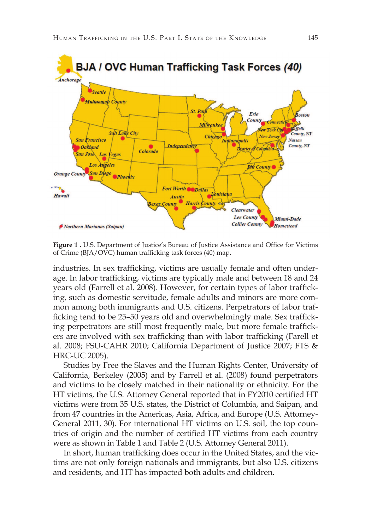

**Figure 1 .** U.S. Department of Justice's Bureau of Justice Assistance and Office for Victims of Crime (BJA/OVC) human trafficking task forces (40) map.

industries. In sex trafficking, victims are usually female and often underage. In labor trafficking, victims are typically male and between 18 and 24 years old (Farrell et al. 2008). However, for certain types of labor trafficking, such as domestic servitude, female adults and minors are more common among both immigrants and U.S. citizens. Perpetrators of labor trafficking tend to be 25–50 years old and overwhelmingly male. Sex trafficking perpetrators are still most frequently male, but more female traffickers are involved with sex trafficking than with labor trafficking (Farell et al. 2008; FSU-CAHR 2010; California Department of Justice 2007; FTS & HRC-UC 2005).

Studies by Free the Slaves and the Human Rights Center, University of California, Berkeley (2005) and by Farrell et al. (2008) found perpetrators and victims to be closely matched in their nationality or ethnicity. For the HT victims, the U.S. Attorney General reported that in FY2010 certified HT victims were from 35 U.S. states, the District of Columbia, and Saipan, and from 47 countries in the Americas, Asia, Africa, and Europe (U.S. Attorney-General 2011, 30). For international HT victims on U.S. soil, the top countries of origin and the number of certified HT victims from each country were as shown in Table 1 and Table 2 (U.S. Attorney General 2011).

In short, human trafficking does occur in the United States, and the victims are not only foreign nationals and immigrants, but also U.S. citizens and residents, and HT has impacted both adults and children.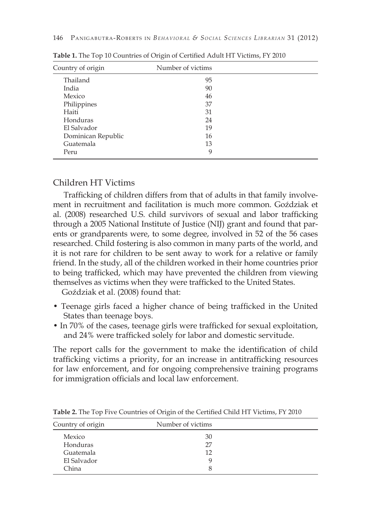| Country of origin  | Number of victims |  |
|--------------------|-------------------|--|
| Thailand           | 95                |  |
| India              | 90                |  |
| Mexico             | 46                |  |
| Philippines        | 37                |  |
| Haiti              | 31                |  |
| Honduras           | 24                |  |
| El Salvador        | 19                |  |
| Dominican Republic | 16                |  |
| Guatemala          | 13                |  |
| Peru               | 9                 |  |

**Table 1.** The Top 10 Countries of Origin of Certified Adult HT Victims, FY 2010

# Children HT Victims

Trafficking of children differs from that of adults in that family involvement in recruitment and facilitation is much more common. Goździak et al. (2008) researched U.S. child survivors of sexual and labor trafficking through a 2005 National Institute of Justice (NIJ) grant and found that parents or grandparents were, to some degree, involved in 52 of the 56 cases researched. Child fostering is also common in many parts of the world, and it is not rare for children to be sent away to work for a relative or family friend. In the study, all of the children worked in their home countries prior to being trafficked, which may have prevented the children from viewing themselves as victims when they were trafficked to the United States.

Goździak et al. (2008) found that:

- Teenage girls faced a higher chance of being trafficked in the United States than teenage boys.
- In 70% of the cases, teenage girls were trafficked for sexual exploitation, and 24% were trafficked solely for labor and domestic servitude.

The report calls for the government to make the identification of child trafficking victims a priority, for an increase in antitrafficking resources for law enforcement, and for ongoing comprehensive training programs for immigration officials and local law enforcement.

| Country of origin | Number of victims |  |
|-------------------|-------------------|--|
| Mexico            | 30                |  |
| Honduras          | 27                |  |
| Guatemala         | 12                |  |
| El Salvador       | Q                 |  |
| China             |                   |  |

**Table 2.** The Top Five Countries of Origin of the Certified Child HT Victims, FY 2010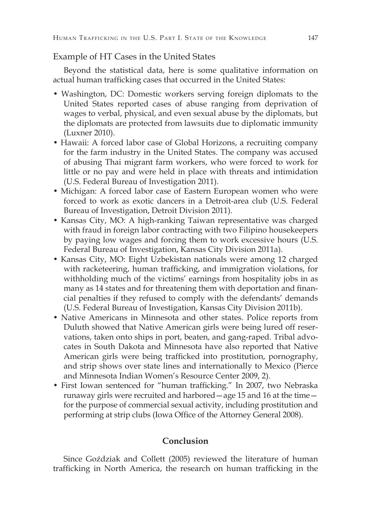### Example of HT Cases in the United States

Beyond the statistical data, here is some qualitative information on actual human trafficking cases that occurred in the United States:

- Washington, DC: Domestic workers serving foreign diplomats to the United States reported cases of abuse ranging from deprivation of wages to verbal, physical, and even sexual abuse by the diplomats, but the diplomats are protected from lawsuits due to diplomatic immunity (Luxner 2010).
- Hawaii: A forced labor case of Global Horizons, a recruiting company for the farm industry in the United States. The company was accused of abusing Thai migrant farm workers, who were forced to work for little or no pay and were held in place with threats and intimidation (U.S. Federal Bureau of Investigation 2011).
- Michigan: A forced labor case of Eastern European women who were forced to work as exotic dancers in a Detroit-area club (U.S. Federal Bureau of Investigation, Detroit Division 2011).
- Kansas City, MO: A high-ranking Taiwan representative was charged with fraud in foreign labor contracting with two Filipino housekeepers by paying low wages and forcing them to work excessive hours (U.S. Federal Bureau of Investigation, Kansas City Division 2011a).
- Kansas City, MO: Eight Uzbekistan nationals were among 12 charged with racketeering, human trafficking, and immigration violations, for withholding much of the victims' earnings from hospitality jobs in as many as 14 states and for threatening them with deportation and financial penalties if they refused to comply with the defendants' demands (U.S. Federal Bureau of Investigation, Kansas City Division 2011b).
- Native Americans in Minnesota and other states. Police reports from Duluth showed that Native American girls were being lured off reservations, taken onto ships in port, beaten, and gang-raped. Tribal advocates in South Dakota and Minnesota have also reported that Native American girls were being trafficked into prostitution, pornography, and strip shows over state lines and internationally to Mexico (Pierce and Minnesota Indian Women's Resource Center 2009, 2).
- First Iowan sentenced for "human trafficking." In 2007, two Nebraska runaway girls were recruited and harbored—age 15 and 16 at the time for the purpose of commercial sexual activity, including prostitution and performing at strip clubs (Iowa Office of the Attorney General 2008).

# **Conclusion**

Since Goździak and Collett (2005) reviewed the literature of human trafficking in North America, the research on human trafficking in the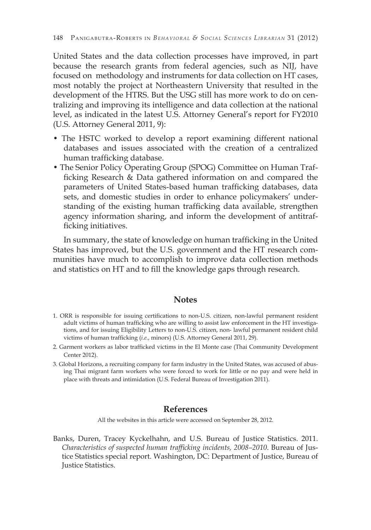United States and the data collection processes have improved, in part because the research grants from federal agencies, such as NIJ, have focused on methodology and instruments for data collection on HT cases, most notably the project at Northeastern University that resulted in the development of the HTRS. But the USG still has more work to do on centralizing and improving its intelligence and data collection at the national level, as indicated in the latest U.S. Attorney General's report for FY2010 (U.S. Attorney General 2011, 9):

- The HSTC worked to develop a report examining different national databases and issues associated with the creation of a centralized human trafficking database.
- The Senior Policy Operating Group (SPOG) Committee on Human Trafficking Research & Data gathered information on and compared the parameters of United States-based human trafficking databases, data sets, and domestic studies in order to enhance policymakers' understanding of the existing human trafficking data available, strengthen agency information sharing, and inform the development of antitrafficking initiatives.

In summary, the state of knowledge on human trafficking in the United States has improved, but the U.S. government and the HT research communities have much to accomplish to improve data collection methods and statistics on HT and to fill the knowledge gaps through research.

#### **Notes**

- 1. ORR is responsible for issuing certifications to non-U.S. citizen, non-lawful permanent resident adult victims of human trafficking who are willing to assist law enforcement in the HT investigations, and for issuing Eligibility Letters to non-U.S. citizen, non- lawful permanent resident child victims of human trafficking (*i.e.*, minors) (U.S. Attorney General 2011, 29).
- 2. Garment workers as labor trafficked victims in the El Monte case (Thai Community Development Center 2012).
- 3. Global Horizons, a recruiting company for farm industry in the United States, was accused of abusing Thai migrant farm workers who were forced to work for little or no pay and were held in place with threats and intimidation (U.S. Federal Bureau of Investigation 2011).

#### **References**

All the websites in this article were accessed on September 28, 2012.

Banks, Duren, Tracey Kyckelhahn, and U.S. Bureau of Justice Statistics. 2011. *Characteristics of suspected human trafficking incidents, 2008–2010*. Bureau of Justice Statistics special report. Washington, DC: Department of Justice, Bureau of Justice Statistics.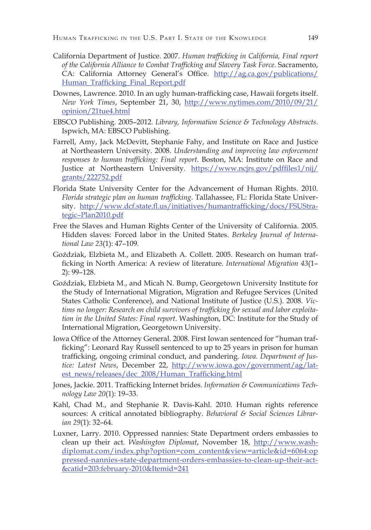- California Department of Justice. 2007. *Human trafficking in California, Final report of the California Alliance to Combat Trafficking and Slavery Task Force*. Sacramento, CA: California Attorney General's Office. http://ag.ca.gov/publications/ Human\_Trafficking\_Final\_Report.pdf
- Downes, Lawrence. 2010. In an ugly human-trafficking case, Hawaii forgets itself. *New York Times*, September 21, 30, http://www.nytimes.com/2010/09/21/ opinion/21tue4.html
- EBSCO Publishing. 2005–2012. *Library, Information Science & Technology Abstracts*. Ispwich, MA: EBSCO Publishing.
- Farrell, Amy, Jack McDevitt, Stephanie Fahy, and Institute on Race and Justice at Northeastern University. 2008. *Understanding and improving law enforcement responses to human trafficking: Final report*. Boston, MA: Institute on Race and Justice at Northeastern University. https://www.ncjrs.gov/pdffiles1/nij/ grants/222752.pdf
- Florida State University Center for the Advancement of Human Rights. 2010. *Florida strategic plan on human trafficking*. Tallahassee, FL: Florida State University. http://www.dcf.state.fl.us/initiatives/humantrafficking/docs/FSUStrategic–Plan2010.pdf
- Free the Slaves and Human Rights Center of the University of California. 2005. Hidden slaves: Forced labor in the United States. *Berkeley Journal of International Law 23*(1): 47–109.
- Goździak, Elzbieta M., and Elizabeth A. Collett. 2005. Research on human trafficking in North America: A review of literature. *International Migration 43*(1– 2): 99–128.
- Goździak, Elzbieta M., and Micah N. Bump, Georgetown University Institute for the Study of International Migration, Migration and Refugee Services (United States Catholic Conference), and National Institute of Justice (U.S.). 2008. *Victims no longer: Research on child survivors of trafficking for sexual and labor exploitation in the United States: Final report*. Washington, DC: Institute for the Study of International Migration, Georgetown University.
- Iowa Office of the Attorney General. 2008. First Iowan sentenced for "human trafficking": Leonard Ray Russell sentenced to up to 25 years in prison for human trafficking, ongoing criminal conduct, and pandering. *Iowa. Department of Justice: Latest News*, December 22, http://www.iowa.gov/government/ag/latest\_news/releases/dec\_2008/Human\_Trafficking.html
- Jones, Jackie. 2011. Trafficking Internet brides. *Information & Communications Technology Law 20*(1): 19–33.
- Kahl, Chad M., and Stephanie R. Davis-Kahl. 2010. Human rights reference sources: A critical annotated bibliography. *Behavioral & Social Sciences Librarian 29*(1): 32–64.
- Luxner, Larry. 2010. Oppressed nannies: State Department orders embassies to clean up their act. *Washington Diplomat*, November 18, http://www.washdiplomat.com/index.php?option=com\_content&view=article&id=6064:op pressed-nannies-state-department-orders-embassies-to-clean-up-their-act- &catid=203:february-2010&Itemid=241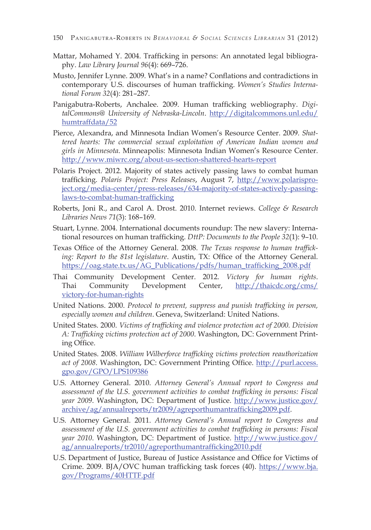- Mattar, Mohamed Y. 2004. Trafficking in persons: An annotated legal bibliography. *Law Library Journal 96*(4): 669–726.
- Musto, Jennifer Lynne. 2009. What's in a name? Conflations and contradictions in contemporary U.S. discourses of human trafficking. *Women's Studies International Forum 32*(4): 281–287.
- Panigabutra-Roberts, Anchalee. 2009. Human trafficking webliography. *DigitalCommons@ University of Nebraska-Lincoln*. http://digitalcommons.unl.edu/ humtraffdata/52
- Pierce, Alexandra, and Minnesota Indian Women's Resource Center. 2009. *Shattered hearts: The commercial sexual exploitation of American Indian women and girls in Minnesota*. Minneapolis: Minnesota Indian Women's Resource Center. http://www.miwrc.org/about-us-section-shattered-hearts-report
- Polaris Project. 2012. Majority of states actively passing laws to combat human trafficking. *Polaris Project: Press Releases*, August 7, http://www.polarisproject.org/media-center/press-releases/634-majority-of-states-actively-passinglaws-to-combat-human-trafficking
- Roberts, Joni R., and Carol A. Drost. 2010. Internet reviews. *College & Research Libraries News 71*(3): 168–169.
- Stuart, Lynne. 2004. International documents roundup: The new slavery: International resources on human trafficking. *DttP: Documents to the People 32*(1): 9–10.
- Texas Office of the Attorney General. 2008. *The Texas response to human trafficking: Report to the 81st legislature*. Austin, TX: Office of the Attorney General. https://oag.state.tx.us/AG\_Publications/pdfs/human\_trafficking\_2008.pdf
- Thai Community Development Center. 2012. *Victory for human rights*. Thai Community Development Center, http://thaicdc.org/cms/ victory-for-human-rights
- United Nations. 2000. *Protocol to prevent, suppress and punish trafficking in person, especially women and children*. Geneva, Switzerland: United Nations.
- United States. 2000. *Victims of trafficking and violence protection act of 2000. Division A: Trafficking victims protection act of 2000*. Washington, DC: Government Printing Office.
- United States. 2008. *William Wilberforce trafficking victims protection reauthorization*  act of 2008. Washington, DC: Government Printing Office. http://purl.access. gpo.gov/GPO/LPS109386
- U.S. Attorney General. 2010. *Attorney General's Annual report to Congress and*  assessment of the U.S. government activities to combat trafficking in persons: Fiscal *year 2009*. Washington, DC: Department of Justice. http://www.justice.gov/ archive/ag/annualreports/tr2009/agreporthumantrafficking2009.pdf.
- U.S. Attorney General. 2011. *Attorney General's Annual report to Congress and*  assessment of the U.S. government activities to combat trafficking in persons: Fiscal *year 2010*. Washington, DC: Department of Justice. http://www.justice.gov/ ag/annualreports/tr2010/agreporthumantrafficking2010.pdf
- U.S. Department of Justice, Bureau of Justice Assistance and Office for Victims of Crime. 2009. BJA/OVC human trafficking task forces (40). https://www.bja. gov/Programs/40HTTF.pdf